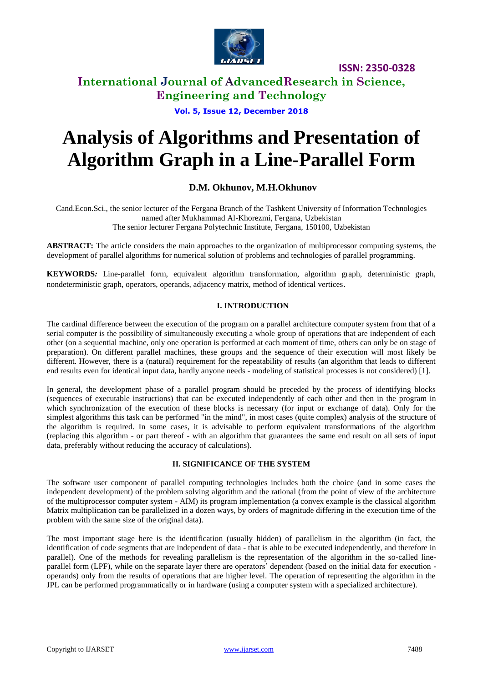

### **International Journal of AdvancedResearch in Science, Engineering and Technology**

**Vol. 5, Issue 12, December 2018**

# **Analysis of Algorithms and Presentation of Algorithm Graph in a Line-Parallel Form**

### **D.M. Okhunov, M.H.Okhunov**

Cand.Econ.Sci., the senior lecturer of the Fergana Branch of the Tashkent University of Information Technologies named after Mukhammad Al-Khorezmi, Fergana, Uzbekistan The senior lecturer Fergana Polytechnic Institute, Fergana, 150100, Uzbekistan

**ABSTRACT:** The article considers the main approaches to the organization of multiprocessor computing systems, the development of parallel algorithms for numerical solution of problems and technologies of parallel programming.

**KEYWORDS***:* Line-parallel form, equivalent algorithm transformation, algorithm graph, deterministic graph, nondeterministic graph, operators, operands, adjacency matrix, method of identical vertices.

### **I. INTRODUCTION**

The cardinal difference between the execution of the program on a parallel architecture computer system from that of a serial computer is the possibility of simultaneously executing a whole group of operations that are independent of each other (on a sequential machine, only one operation is performed at each moment of time, others can only be on stage of preparation). On different parallel machines, these groups and the sequence of their execution will most likely be different. However, there is a (natural) requirement for the repeatability of results (an algorithm that leads to different end results even for identical input data, hardly anyone needs - modeling of statistical processes is not considered) [1].

In general, the development phase of a parallel program should be preceded by the process of identifying blocks (sequences of executable instructions) that can be executed independently of each other and then in the program in which synchronization of the execution of these blocks is necessary (for input or exchange of data). Only for the simplest algorithms this task can be performed "in the mind", in most cases (quite complex) analysis of the structure of the algorithm is required. In some cases, it is advisable to perform equivalent transformations of the algorithm (replacing this algorithm - or part thereof - with an algorithm that guarantees the same end result on all sets of input data, preferably without reducing the accuracy of calculations).

### **II. SIGNIFICANCE OF THE SYSTEM**

The software user component of parallel computing technologies includes both the choice (and in some cases the independent development) of the problem solving algorithm and the rational (from the point of view of the architecture of the multiprocessor computer system - AIM) its program implementation (a convex example is the classical algorithm Matrix multiplication can be parallelized in a dozen ways, by orders of magnitude differing in the execution time of the problem with the same size of the original data).

The most important stage here is the identification (usually hidden) of parallelism in the algorithm (in fact, the identification of code segments that are independent of data - that is able to be executed independently, and therefore in parallel). One of the methods for revealing parallelism is the representation of the algorithm in the so-called lineparallel form (LPF), while on the separate layer there are operators' dependent (based on the initial data for execution operands) only from the results of operations that are higher level. The operation of representing the algorithm in the JPL can be performed programmatically or in hardware (using a computer system with a specialized architecture).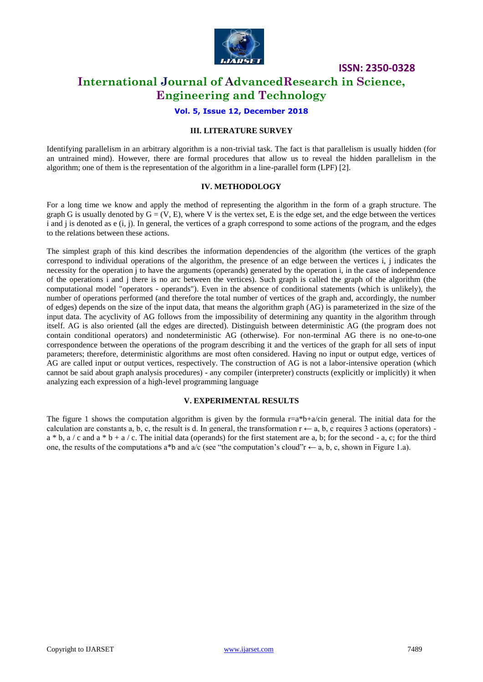

### **International Journal of AdvancedResearch in Science, Engineering and Technology**

### **Vol. 5, Issue 12, December 2018**

### **III. LITERATURE SURVEY**

Identifying parallelism in an arbitrary algorithm is a non-trivial task. The fact is that parallelism is usually hidden (for an untrained mind). However, there are formal procedures that allow us to reveal the hidden parallelism in the algorithm; one of them is the representation of the algorithm in a line-parallel form (LPF) [2].

### **IV. METHODOLOGY**

For a long time we know and apply the method of representing the algorithm in the form of a graph structure. The graph G is usually denoted by  $G = (V, E)$ , where V is the vertex set, E is the edge set, and the edge between the vertices i and j is denoted as e (i, j). In general, the vertices of a graph correspond to some actions of the program, and the edges to the relations between these actions.

The simplest graph of this kind describes the information dependencies of the algorithm (the vertices of the graph correspond to individual operations of the algorithm, the presence of an edge between the vertices i, j indicates the necessity for the operation j to have the arguments (operands) generated by the operation i, in the case of independence of the operations i and j there is no arc between the vertices). Such graph is called the graph of the algorithm (the computational model "operators - operands"). Even in the absence of conditional statements (which is unlikely), the number of operations performed (and therefore the total number of vertices of the graph and, accordingly, the number of edges) depends on the size of the input data, that means the algorithm graph (AG) is parameterized in the size of the input data. The acyclivity of AG follows from the impossibility of determining any quantity in the algorithm through itself. AG is also oriented (all the edges are directed). Distinguish between deterministic AG (the program does not contain conditional operators) and nondeterministic AG (otherwise). For non-terminal AG there is no one-to-one correspondence between the operations of the program describing it and the vertices of the graph for all sets of input parameters; therefore, deterministic algorithms are most often considered. Having no input or output edge, vertices of AG are called input or output vertices, respectively. The construction of AG is not a labor-intensive operation (which cannot be said about graph analysis procedures) - any compiler (interpreter) constructs (explicitly or implicitly) it when analyzing each expression of a high-level programming language

### **V. EXPERIMENTAL RESULTS**

The figure 1 shows the computation algorithm is given by the formula  $r=a*b+a/c$  general. The initial data for the calculation are constants a, b, c, the result is d. In general, the transformation  $r \leftarrow a$ , b, c requires 3 actions (operators)  $a * b$ ,  $a / c$  and  $a * b + a / c$ . The initial data (operands) for the first statement are a, b; for the second - a, c; for the third one, the results of the computations a\*b and a/c (see "the computation's cloud"r  $\leftarrow$  a, b, c, shown in Figure 1.a).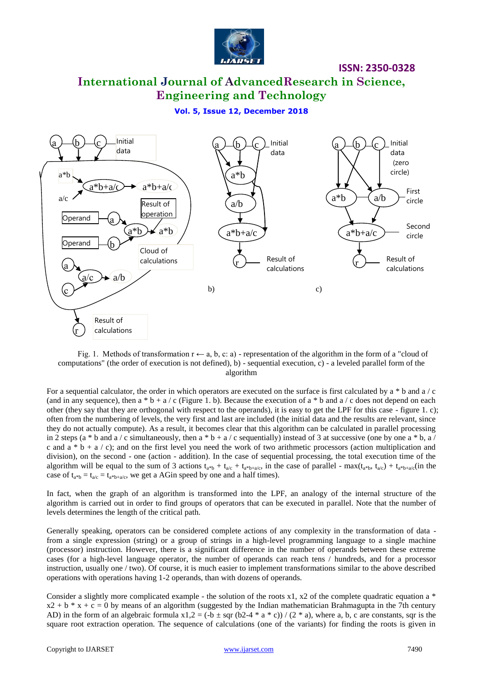

# **International Journal of AdvancedResearch in Science, Engineering and Technology**

### **Vol. 5, Issue 12, December 2018**



Fig. 1. Methods of transformation  $r \leftarrow a$ , b, c: a) - representation of the algorithm in the form of a "cloud of computations" (the order of execution is not defined), b) - sequential execution, c) - a leveled parallel form of the algorithm

For a sequential calculator, the order in which operators are executed on the surface is first calculated by  $a * b$  and  $a / c$ (and in any sequence), then a  $*$  b + a / c (Figure 1. b). Because the execution of a  $*$  b and a / c does not depend on each other (they say that they are orthogonal with respect to the operands), it is easy to get the LPF for this case - figure 1. c); often from the numbering of levels, the very first and last are included (the initial data and the results are relevant, since they do not actually compute). As a result, it becomes clear that this algorithm can be calculated in parallel processing in 2 steps (a \* b and a / c simultaneously, then a \* b + a / c sequentially) instead of 3 at successive (one by one a \* b, a / c and a  $*$  b + a / c); and on the first level you need the work of two arithmetic processors (action multiplication and division), on the second - one (action - addition). In the case of sequential processing, the total execution time of the algorithm will be equal to the sum of 3 actions  $t_{a*b} + t_{a/c} + t_{a*h+a/c}$ , in the case of parallel - max $(t_{a*b}, t_{a/c}) + t_{a*b+a/c}$ (in the case of  $t_{a*b} = t_{a/c} = t_{a*b+a/c}$ , we get a AGin speed by one and a half times).

In fact, when the graph of an algorithm is transformed into the LPF, an analogy of the internal structure of the algorithm is carried out in order to find groups of operators that can be executed in parallel. Note that the number of levels determines the length of the critical path.

Generally speaking, operators can be considered complete actions of any complexity in the transformation of data from a single expression (string) or a group of strings in a high-level programming language to a single machine (processor) instruction. However, there is a significant difference in the number of operands between these extreme cases (for a high-level language operator, the number of operands can reach tens / hundreds, and for a processor instruction, usually one / two). Of course, it is much easier to implement transformations similar to the above described operations with operations having 1-2 operands, than with dozens of operands.

Consider a slightly more complicated example - the solution of the roots  $x1$ ,  $x2$  of the complete quadratic equation a  $*$  $x2 + b * x + c = 0$  by means of an algorithm (suggested by the Indian mathematician Brahmagupta in the 7th century AD) in the form of an algebraic formula  $x1,2 = (-b \pm \sqrt{b^2-4} + a \pm c))/(2 \pm a)$ , where a, b, c are constants, sqr is the square root extraction operation. The sequence of calculations (one of the variants) for finding the roots is given in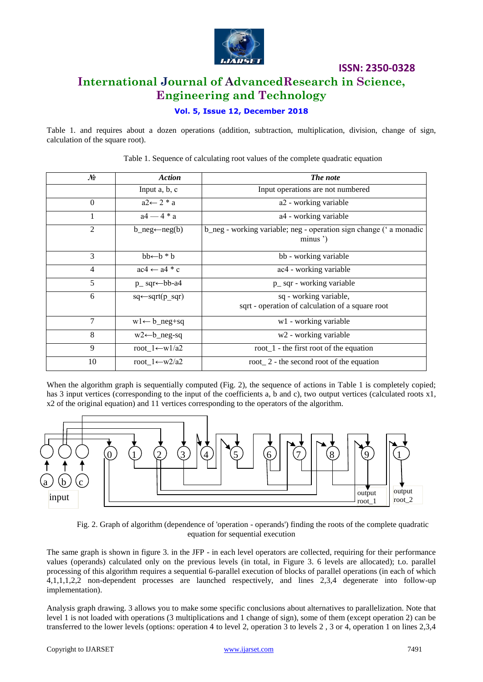

# **ISSN: 2350-0328 International Journal of AdvancedResearch in Science, Engineering and Technology**

### **Vol. 5, Issue 12, December 2018**

Table 1. and requires about a dozen operations (addition, subtraction, multiplication, division, change of sign, calculation of the square root).

| No             | <b>Action</b>                         | The note                                                                      |  |  |  |  |
|----------------|---------------------------------------|-------------------------------------------------------------------------------|--|--|--|--|
|                | Input a, b, c                         | Input operations are not numbered                                             |  |  |  |  |
| $\Omega$       | $a2 \leftarrow 2 * a$                 | a2 - working variable                                                         |  |  |  |  |
|                | $a4 - 4 * a$                          | a4 - working variable                                                         |  |  |  |  |
| 2              | b neg $\leftarrow$ neg(b)             | b_neg - working variable; neg - operation sign change ('a monadic<br>minus ') |  |  |  |  |
| 3              | $bb \leftarrow b * b$                 | bb - working variable                                                         |  |  |  |  |
| $\overline{4}$ | $ac4 \leftarrow a4 * c$               | ac4 - working variable                                                        |  |  |  |  |
| 5              | $p$ <sub>sqr</sub> $\leftarrow$ bb-a4 | p_ sqr - working variable                                                     |  |  |  |  |
| 6              | $sq \leftarrow \text{sqrt}(p_{sqr})$  | sq - working variable,<br>sqrt - operation of calculation of a square root    |  |  |  |  |
| 7              | $w1 \leftarrow b_neg+sq$              | w1 - working variable                                                         |  |  |  |  |
| 8              | $w2 \leftarrow b$ neg-sq              | w <sub>2</sub> - working variable                                             |  |  |  |  |
| 9              | root_1 $\leftarrow$ w1/a2             | root $1$ - the first root of the equation                                     |  |  |  |  |
| 10             | root $1 \leftarrow w2/a2$             | root $\_$ 2 - the second root of the equation                                 |  |  |  |  |

Table 1. Sequence of calculating root values of the complete quadratic equation

When the algorithm graph is sequentially computed (Fig. 2), the sequence of actions in Table 1 is completely copied; has 3 input vertices (corresponding to the input of the coefficients a, b and c), two output vertices (calculated roots x1, x2 of the original equation) and 11 vertices corresponding to the operators of the algorithm.



Fig. 2. Graph of algorithm (dependence of 'operation - operands') finding the roots of the complete quadratic equation for sequential execution

The same graph is shown in figure 3. in the JFP - in each level operators are collected, requiring for their performance values (operands) calculated only on the previous levels (in total, in Figure 3. 6 levels are allocated); t.o. parallel processing of this algorithm requires a sequential 6-parallel execution of blocks of parallel operations (in each of which 4,1,1,1,2,2 non-dependent processes are launched respectively, and lines 2,3,4 degenerate into follow-up implementation).

Analysis graph drawing. 3 allows you to make some specific conclusions about alternatives to parallelization. Note that level 1 is not loaded with operations (3 multiplications and 1 change of sign), some of them (except operation 2) can be transferred to the lower levels (options: operation 4 to level 2, operation 3 to levels 2 , 3 or 4, operation 1 on lines 2,3,4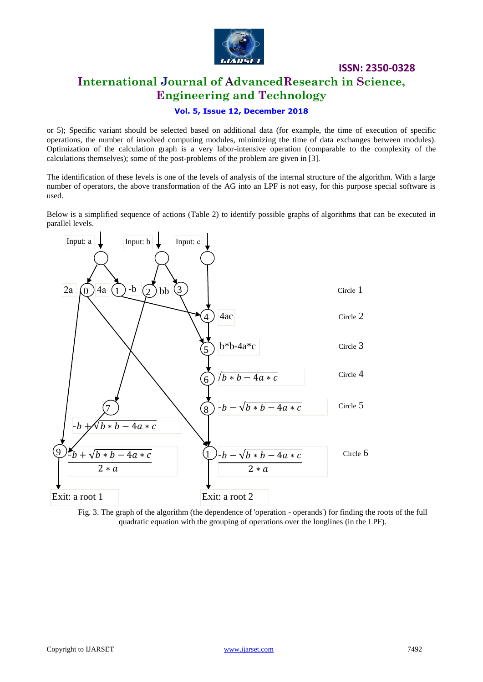

**ISSN: 2350-0328 International Journal of AdvancedResearch in Science, Engineering and Technology**

### **Vol. 5, Issue 12, December 2018**

or 5); Specific variant should be selected based on additional data (for example, the time of execution of specific operations, the number of involved computing modules, minimizing the time of data exchanges between modules). Optimization of the calculation graph is a very labor-intensive operation (comparable to the complexity of the calculations themselves); some of the post-problems of the problem are given in [3].

The identification of these levels is one of the levels of analysis of the internal structure of the algorithm. With a large number of operators, the above transformation of the AG into an LPF is not easy, for this purpose special software is used.

Below is a simplified sequence of actions (Table 2) to identify possible graphs of algorithms that can be executed in parallel levels.



Fig. 3. The graph of the algorithm (the dependence of 'operation - operands') for finding the roots of the full quadratic equation with the grouping of operations over the longlines (in the LPF).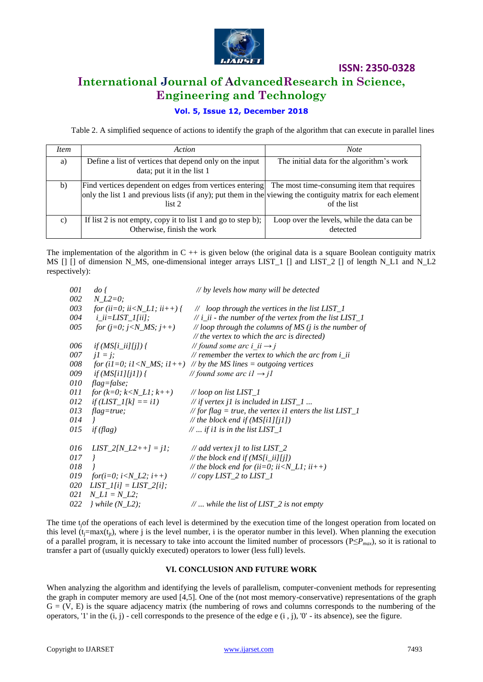

## **International Journal of AdvancedResearch in Science, Engineering and Technology**

### **Vol. 5, Issue 12, December 2018**

Table 2. A simplified sequence of actions to identify the graph of the algorithm that can execute in parallel lines

| <i>Item</i>     | Action                                                                                                                                                                                                                      | <b>Note</b>                                             |
|-----------------|-----------------------------------------------------------------------------------------------------------------------------------------------------------------------------------------------------------------------------|---------------------------------------------------------|
| a)              | Define a list of vertices that depend only on the input<br>data; put it in the list 1                                                                                                                                       | The initial data for the algorithm's work               |
| $\mathbf{b}$    | Find vertices dependent on edges from vertices entering The most time-consuming item that requires<br>only the list 1 and previous lists (if any); put them in the viewing the contiguity matrix for each element<br>list 2 | of the list                                             |
| $\mathcal{C}$ ) | If list 2 is not empty, copy it to list 1 and go to step b);<br>Otherwise, finish the work                                                                                                                                  | Loop over the levels, while the data can be<br>detected |

The implementation of the algorithm in  $C + i$  is given below (the original data is a square Boolean contiguity matrix MS  $\Box$   $\Box$  of dimension N\_MS, one-dimensional integer arrays LIST  $\Box$   $\Box$  and LIST  $\Box$   $\Box$  of length N\_L1 and N\_L2 respectively):

| 001 | $\frac{d}{d\theta}$                                                                                                              | // by levels how many will be detected                                                        |
|-----|----------------------------------------------------------------------------------------------------------------------------------|-----------------------------------------------------------------------------------------------|
| 002 | $N_{\_L2=0;}$                                                                                                                    |                                                                                               |
| 003 | for (ii=0; ii <n_l1; ii++)="" td="" {<=""><td><math>\mathcal{N}</math> loop through the vertices in the list LIST_1</td></n_l1;> | $\mathcal{N}$ loop through the vertices in the list LIST_1                                    |
| 004 | $i$ <sub><i>_ii</i></sub> = <i>LIST_1</i> [ <i>ii</i> ];                                                                         | $\frac{1}{i}$ i_ii - the number of the vertex from the list LIST_1                            |
| 005 | for (j=0; j <n_ms; j++)<="" td=""><td>// loop through the columns of MS <math>(i</math> is the number of</td></n_ms;>            | // loop through the columns of MS $(i$ is the number of                                       |
|     |                                                                                                                                  | $\mathcal{N}$ the vertex to which the arc is directed)                                        |
| 006 | $if(MS[i\_ii][j])$ {                                                                                                             | // found some arc i ii $\rightarrow$ j                                                        |
| 007 | $iI = i$ ;                                                                                                                       | // remember the vertex to which the arc from $i$ ii                                           |
| 008 |                                                                                                                                  | for (i1=0; i1 <n_ms; by="" i1++)="" lines="outgoing" ms="" td="" the="" vertices<=""></n_ms;> |
| 009 | <i>if</i> ( <i>MS[i1][j1]</i> ) {                                                                                                | // found some arc i $l \rightarrow$ j1                                                        |
| 010 | $flag = false;$                                                                                                                  |                                                                                               |
| 011 | for $(k=0; k$                                                                                                                    | // loop on list LIST 1                                                                        |
| 012 | $if (LIST_1[k] == i1)$                                                                                                           | // if vertex j1 is included in $LIST_1$                                                       |
| 013 | $flag = true;$                                                                                                                   | // for flag = true, the vertex il enters the list $LIST_1$                                    |
| 014 | $\overline{I}$                                                                                                                   | // the block end if $(MS[i1][j1])$                                                            |
| 015 | if (flag)                                                                                                                        | $\mathbb{N}$ if i1 is in the list LIST_1                                                      |
| 016 | $LIST_2[N_L2++]=j1;$                                                                                                             | // add vertex j1 to list $LIST_2$                                                             |
| 017 | $\prime$                                                                                                                         | // the block end if $(MS[i\_ii][j])$                                                          |
| 018 |                                                                                                                                  | // the block end for (ii=0; ii <n_l1; ii++)<="" td=""></n_l1;>                                |
| 019 | for(i=0; i <n_l2; i++)<="" td=""><td>// <math>copy</math> LIST_2 to LIST_1</td></n_l2;>                                          | // $copy$ LIST_2 to LIST_1                                                                    |
| 020 | $LIST_I[i] = LIST_I[i];$                                                                                                         |                                                                                               |
| 021 | $N_L1 = N_L2;$                                                                                                                   |                                                                                               |
| 022 | $}$ while (N_L2);                                                                                                                | $\mathcal{N}$ while the list of LIST_2 is not empty                                           |

The time tjof the operations of each level is determined by the execution time of the longest operation from located on this level  $(t_i=max(t_i))$ , where j is the level number, i is the operator number in this level). When planning the execution of a parallel program, it is necessary to take into account the limited number of processors ( $P \leq P_{max}$ ), so it is rational to transfer a part of (usually quickly executed) operators to lower (less full) levels.

### **VI. CONCLUSION AND FUTURE WORK**

When analyzing the algorithm and identifying the levels of parallelism, computer-convenient methods for representing the graph in computer memory are used [4,5]. One of the (not most memory-conservative) representations of the graph  $G = (V, E)$  is the square adjacency matrix (the numbering of rows and columns corresponds to the numbering of the operators, '1' in the  $(i, j)$  - cell corresponds to the presence of the edge  $e(i, j)$ , '0' - its absence), see the figure.